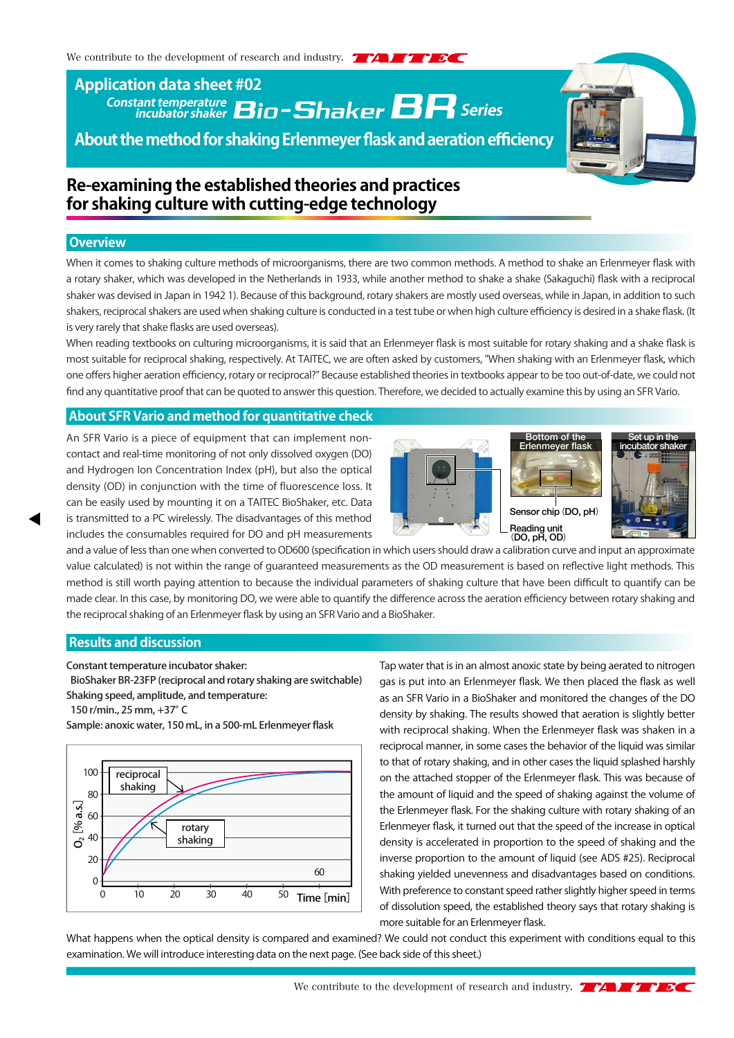# **Constant temperature incubator shaker Series Application data sheet #02**

**About the method for shaking Erlenmeyer flask and aeration efficiency**

# **Re-examining the established theories and practices for shaking culture with cutting-edge technology**

#### **Overview**

When it comes to shaking culture methods of microorganisms, there are two common methods. A method to shake an Erlenmeyer flask with a rotary shaker, which was developed in the Netherlands in 1933, while another method to shake a shake (Sakaguchi) flask with a reciprocal shaker was devised in Japan in 1942 1). Because of this background, rotary shakers are mostly used overseas, while in Japan, in addition to such shakers, reciprocal shakers are used when shaking culture is conducted in a test tube or when high culture efficiency is desired in a shake flask. (It is very rarely that shake flasks are used overseas).

When reading textbooks on culturing microorganisms, it is said that an Erlenmeyer flask is most suitable for rotary shaking and a shake flask is most suitable for reciprocal shaking, respectively. At TAITEC, we are often asked by customers, "When shaking with an Erlenmeyer flask, which one offers higher aeration efficiency, rotary or reciprocal?" Because established theories in textbooks appear to be too out-of-date, we could not find any quantitative proof that can be quoted to answer this question. Therefore, we decided to actually examine this by using an SFR Vario.

# **About SFR Vario and method for quantitative check**

An SFR Vario is a piece of equipment that can implement noncontact and real-time monitoring of not only dissolved oxygen (DO) and Hydrogen Ion Concentration Index (pH), but also the optical density (OD) in conjunction with the time of fluorescence loss. It can be easily used by mounting it on a TAITEC BioShaker, etc. Data is transmitted to a PC wirelessly. The disadvantages of this method includes the consumables required for DO and pH measurements







and a value of less than one when converted to OD600 (specification in which users should draw a calibration curve and input an approximate value calculated) is not within the range of guaranteed measurements as the OD measurement is based on reflective light methods. This method is still worth paying attention to because the individual parameters of shaking culture that have been difficult to quantify can be made clear. In this case, by monitoring DO, we were able to quantify the difference across the aeration efficiency between rotary shaking and the reciprocal shaking of an Erlenmeyer flask by using an SFR Vario and a BioShaker.

#### **Results and discussion**

Constant temperature incubator shaker:

 BioShaker BR-23FP (reciprocal and rotary shaking are switchable) Shaking speed, amplitude, and temperature:

150 r/min., 25 mm, +37°C



Sample: anoxic water, 150 mL, in a 500-mL Erlenmeyer flask

Tap water that is in an almost anoxic state by being aerated to nitrogen gas is put into an Erlenmeyer flask. We then placed the flask as well as an SFR Vario in a BioShaker and monitored the changes of the DO density by shaking. The results showed that aeration is slightly better with reciprocal shaking. When the Erlenmeyer flask was shaken in a reciprocal manner, in some cases the behavior of the liquid was similar to that of rotary shaking, and in other cases the liquid splashed harshly on the attached stopper of the Erlenmeyer flask. This was because of the amount of liquid and the speed of shaking against the volume of the Erlenmeyer flask. For the shaking culture with rotary shaking of an Erlenmeyer flask, it turned out that the speed of the increase in optical density is accelerated in proportion to the speed of shaking and the inverse proportion to the amount of liquid (see ADS #25). Reciprocal shaking yielded unevenness and disadvantages based on conditions. With preference to constant speed rather slightly higher speed in terms of dissolution speed, the established theory says that rotary shaking is more suitable for an Erlenmeyer flask.

What happens when the optical density is compared and examined? We could not conduct this experiment with conditions equal to this examination. We will introduce interesting data on the next page. (See back side of this sheet.)